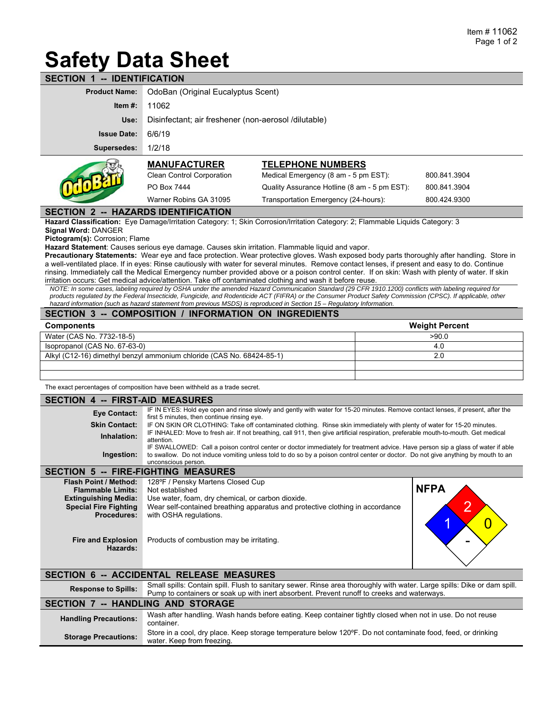# **Safety Data Sheet**

| -- IDENTIFICATION<br><b>SECTION</b> |                                                      |                                              |              |  |  |  |
|-------------------------------------|------------------------------------------------------|----------------------------------------------|--------------|--|--|--|
| <b>Product Name:</b>                | OdoBan (Original Eucalyptus Scent)                   |                                              |              |  |  |  |
| Item $#$ :                          | 11062                                                |                                              |              |  |  |  |
| Use:                                | Disinfectant; air freshener (non-aerosol /dilutable) |                                              |              |  |  |  |
| <b>Issue Date:</b>                  | 6/6/19                                               |                                              |              |  |  |  |
| Supersedes:                         | 1/2/18                                               |                                              |              |  |  |  |
|                                     | <b>MANUFACTURER</b>                                  | <b>TELEPHONE NUMBERS</b>                     |              |  |  |  |
|                                     | <b>Clean Control Corporation</b>                     | Medical Emergency (8 am - 5 pm EST):         | 800.841.3904 |  |  |  |
|                                     | PO Box 7444                                          | Quality Assurance Hotline (8 am - 5 pm EST): | 800.841.3904 |  |  |  |

**SECTION 2 -- HAZARDS IDENTIFICATION** 

**Hazard Classification:** Eye Damage/Irritation Category: 1; Skin Corrosion/Irritation Category: 2; Flammable Liquids Category: 3

**Signal Word:** DANGER

**Pictogram(s):** Corrosion; Flame

**Hazard Statement**: Causes serious eye damage. Causes skin irritation. Flammable liquid and vapor.

**Precautionary Statements:** Wear eye and face protection. Wear protective gloves. Wash exposed body parts thoroughly after handling. Store in a well-ventilated place. If in eyes: Rinse cautiously with water for several minutes. Remove contact lenses, if present and easy to do. Continue rinsing. Immediately call the Medical Emergency number provided above or a poison control center. If on skin: Wash with plenty of water. If skin irritation occurs: Get medical advice/attention. Take off contaminated clothing and wash it before reuse.

Warner Robins GA 31095 Transportation Emergency (24-hours): 800.424.9300

*NOTE: In some cases, labeling required by OSHA under the amended Hazard Communication Standard (29 CFR 1910.1200) conflicts with labeling required for products regulated by the Federal Insecticide, Fungicide, and Rodenticide ACT (FIFRA) or the Consumer Product Safety Commission (CPSC). If applicable, other hazard information (such as hazard statement from previous MSDS) is reproduced in Section 15 – Regulatory Information.*

#### **SECTION 3 -- COMPOSITION / INFORMATION ON INGREDIENTS**

| <b>Components</b>                                                     | <b>Weight Percent</b> |  |  |
|-----------------------------------------------------------------------|-----------------------|--|--|
| Water (CAS No. 7732-18-5)                                             | >90.0                 |  |  |
| Isopropanol (CAS No. 67-63-0)                                         | 4.0                   |  |  |
| Alkyl (C12-16) dimethyl benzyl ammonium chloride (CAS No. 68424-85-1) | 2.0                   |  |  |
|                                                                       |                       |  |  |
|                                                                       |                       |  |  |

The exact percentages of composition have been withheld as a trade secret.

#### **SECTION 4 -- FIRST-AID MEASURES**

| ----------           |                                                                                                                                                                                                                                                                                             |  |  |  |  |
|----------------------|---------------------------------------------------------------------------------------------------------------------------------------------------------------------------------------------------------------------------------------------------------------------------------------------|--|--|--|--|
| Eye Contact:         | IF IN EYES: Hold eye open and rinse slowly and gently with water for 15-20 minutes. Remove contact lenses, if present, after the<br>first 5 minutes, then continue rinsing eye.                                                                                                             |  |  |  |  |
| <b>Skin Contact:</b> | IF ON SKIN OR CLOTHING: Take off contaminated clothing. Rinse skin immediately with plenty of water for 15-20 minutes.                                                                                                                                                                      |  |  |  |  |
| Inhalation:          | IF INHALED: Move to fresh air. If not breathing, call 911, then give artificial respiration, preferable mouth-to-mouth. Get medical<br>attention.                                                                                                                                           |  |  |  |  |
| Ingestion:           | IF SWALLOWED: Call a poison control center or doctor immediately for treatment advice. Have person sip a glass of water if able<br>to swallow. Do not induce vomiting unless told to do so by a poison control center or doctor. Do not give anything by mouth to an<br>unconscious person. |  |  |  |  |
|                      |                                                                                                                                                                                                                                                                                             |  |  |  |  |

### **SECTION 5 -- FIRE-FIGHTING MEASURES**

| <b>Flash Point / Method:</b><br><b>Flammable Limits:</b>    | 128°F / Pensky Martens Closed Cup<br>Not established                                                                               | <b>NFPA</b> |
|-------------------------------------------------------------|------------------------------------------------------------------------------------------------------------------------------------|-------------|
| <b>Extinguishing Media:</b><br><b>Special Fire Fighting</b> | Use water, foam, dry chemical, or carbon dioxide.<br>Wear self-contained breathing apparatus and protective clothing in accordance |             |
| <b>Procedures:</b>                                          | with OSHA regulations.                                                                                                             |             |
| <b>Fire and Explosion</b><br>Hazards:                       | Products of combustion may be irritating.                                                                                          | -           |

### **SECTION 6 -- ACCIDENTAL RELEASE MEASURES**

| <b>Response to Spills:</b>               | Small spills: Contain spill. Flush to sanitary sewer. Rinse area thoroughly with water. Large spills: Dike or dam spill.<br>Pump to containers or soak up with inert absorbent. Prevent runoff to creeks and waterways. |  |  |  |
|------------------------------------------|-------------------------------------------------------------------------------------------------------------------------------------------------------------------------------------------------------------------------|--|--|--|
| <b>SECTION 7 -- HANDLING AND STORAGE</b> |                                                                                                                                                                                                                         |  |  |  |
| <b>Handling Precautions:</b>             | Wash after handling. Wash hands before eating. Keep container tightly closed when not in use. Do not reuse<br>container.                                                                                                |  |  |  |
| <b>Storage Precautions:</b>              | Store in a cool, dry place. Keep storage temperature below 120°F. Do not contaminate food, feed, or drinking<br>water. Keep from freezing.                                                                              |  |  |  |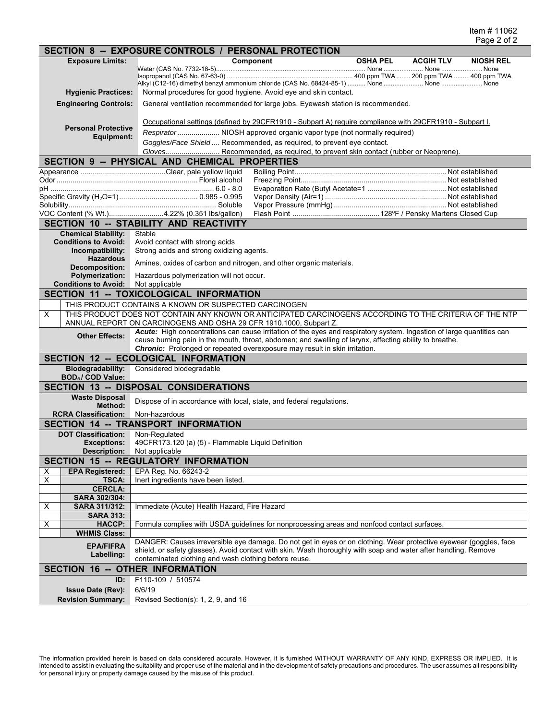|                                             |                                                                                                                               | SECTION 8 -- EXPOSURE CONTROLS / PERSONAL PROTECTION                                                                                                             |  |  |  |  |
|---------------------------------------------|-------------------------------------------------------------------------------------------------------------------------------|------------------------------------------------------------------------------------------------------------------------------------------------------------------|--|--|--|--|
|                                             | <b>Exposure Limits:</b>                                                                                                       | <b>OSHA PEL</b><br>Component<br><b>ACGIH TLV</b><br><b>NIOSH REL</b>                                                                                             |  |  |  |  |
|                                             |                                                                                                                               |                                                                                                                                                                  |  |  |  |  |
|                                             |                                                                                                                               | Alkyl (C12-16) dimethyl benzyl ammonium chloride (CAS No. 68424-85-1)  None  None  None                                                                          |  |  |  |  |
|                                             | <b>Hygienic Practices:</b>                                                                                                    | Normal procedures for good hygiene. Avoid eye and skin contact.                                                                                                  |  |  |  |  |
|                                             | <b>Engineering Controls:</b>                                                                                                  | General ventilation recommended for large jobs. Eyewash station is recommended.                                                                                  |  |  |  |  |
|                                             |                                                                                                                               |                                                                                                                                                                  |  |  |  |  |
|                                             |                                                                                                                               | Occupational settings (defined by 29CFR1910 - Subpart A) require compliance with 29CFR1910 - Subpart I.                                                          |  |  |  |  |
|                                             | <b>Personal Protective</b><br>Equipment:                                                                                      | Respirator  NIOSH approved organic vapor type (not normally required)                                                                                            |  |  |  |  |
|                                             |                                                                                                                               | Goggles/Face Shield  Recommended, as required, to prevent eye contact.                                                                                           |  |  |  |  |
|                                             |                                                                                                                               | Gloves Recommended, as required, to prevent skin contact (rubber or Neoprene).                                                                                   |  |  |  |  |
|                                             |                                                                                                                               | SECTION 9 -- PHYSICAL AND CHEMICAL PROPERTIES                                                                                                                    |  |  |  |  |
|                                             |                                                                                                                               |                                                                                                                                                                  |  |  |  |  |
|                                             |                                                                                                                               |                                                                                                                                                                  |  |  |  |  |
|                                             |                                                                                                                               |                                                                                                                                                                  |  |  |  |  |
|                                             |                                                                                                                               |                                                                                                                                                                  |  |  |  |  |
|                                             |                                                                                                                               | VOC Content (% Wt.)4.22% (0.351 lbs/gallon)                                                                                                                      |  |  |  |  |
|                                             |                                                                                                                               | SECTION 10 -- STABILITY AND REACTIVITY                                                                                                                           |  |  |  |  |
|                                             | <b>Chemical Stability:</b><br><b>Conditions to Avoid:</b>                                                                     | Stable                                                                                                                                                           |  |  |  |  |
|                                             | Incompatibility:                                                                                                              | Avoid contact with strong acids<br>Strong acids and strong oxidizing agents.                                                                                     |  |  |  |  |
|                                             | <b>Hazardous</b>                                                                                                              |                                                                                                                                                                  |  |  |  |  |
|                                             | <b>Decomposition:</b>                                                                                                         | Amines, oxides of carbon and nitrogen, and other organic materials.                                                                                              |  |  |  |  |
|                                             | <b>Polymerization:</b>                                                                                                        | Hazardous polymerization will not occur.                                                                                                                         |  |  |  |  |
|                                             | <b>Conditions to Avoid:</b>                                                                                                   | Not applicable                                                                                                                                                   |  |  |  |  |
|                                             |                                                                                                                               | SECTION 11 -- TOXICOLOGICAL INFORMATION                                                                                                                          |  |  |  |  |
| X                                           |                                                                                                                               | THIS PRODUCT CONTAINS A KNOWN OR SUSPECTED CARCINOGEN<br>THIS PRODUCT DOES NOT CONTAIN ANY KNOWN OR ANTICIPATED CARCINOGENS ACCORDING TO THE CRITERIA OF THE NTP |  |  |  |  |
|                                             |                                                                                                                               | ANNUAL REPORT ON CARCINOGENS AND OSHA 29 CFR 1910.1000, Subpart Z.                                                                                               |  |  |  |  |
|                                             |                                                                                                                               | Acute: High concentrations can cause irritation of the eyes and respiratory system. Ingestion of large quantities can                                            |  |  |  |  |
|                                             | <b>Other Effects:</b>                                                                                                         | cause burning pain in the mouth, throat, abdomen; and swelling of larynx, affecting ability to breathe.                                                          |  |  |  |  |
|                                             |                                                                                                                               | <b>Chronic:</b> Prolonged or repeated overexposure may result in skin irritation.                                                                                |  |  |  |  |
|                                             |                                                                                                                               | <b>SECTION 12 -- ECOLOGICAL INFORMATION</b>                                                                                                                      |  |  |  |  |
|                                             | Biodegradability:<br>BOD <sub>5</sub> / COD Value:                                                                            | Considered biodegradable                                                                                                                                         |  |  |  |  |
|                                             |                                                                                                                               | <b>SECTION 13 -- DISPOSAL CONSIDERATIONS</b>                                                                                                                     |  |  |  |  |
|                                             | <b>Waste Disposal</b>                                                                                                         |                                                                                                                                                                  |  |  |  |  |
|                                             | Method:                                                                                                                       | Dispose of in accordance with local, state, and federal regulations.                                                                                             |  |  |  |  |
|                                             | <b>RCRA Classification:</b>                                                                                                   | Non-hazardous                                                                                                                                                    |  |  |  |  |
|                                             |                                                                                                                               | SECTION 14 -- TRANSPORT INFORMATION                                                                                                                              |  |  |  |  |
|                                             | <b>DOT Classification:</b>                                                                                                    | Non-Regulated                                                                                                                                                    |  |  |  |  |
|                                             | <b>Exceptions:</b><br>Description:                                                                                            | 49CFR173.120 (a) (5) - Flammable Liquid Definition<br>Not applicable                                                                                             |  |  |  |  |
| <b>SECTION 15 -- REGULATORY INFORMATION</b> |                                                                                                                               |                                                                                                                                                                  |  |  |  |  |
| х                                           | <b>EPA Registered:</b>                                                                                                        | EPA Reg. No. 66243-2                                                                                                                                             |  |  |  |  |
| X                                           | <b>TSCA:</b>                                                                                                                  | Inert ingredients have been listed.                                                                                                                              |  |  |  |  |
|                                             | <b>CERCLA:</b>                                                                                                                |                                                                                                                                                                  |  |  |  |  |
|                                             | SARA 302/304:                                                                                                                 |                                                                                                                                                                  |  |  |  |  |
| X                                           | <b>SARA 311/312:</b><br><b>SARA 313:</b>                                                                                      | Immediate (Acute) Health Hazard, Fire Hazard                                                                                                                     |  |  |  |  |
| X                                           | <b>HACCP:</b>                                                                                                                 | Formula complies with USDA quidelines for nonprocessing areas and nonfood contact surfaces.                                                                      |  |  |  |  |
|                                             | <b>WHMIS Class:</b>                                                                                                           |                                                                                                                                                                  |  |  |  |  |
|                                             | <b>EPA/FIFRA</b>                                                                                                              | DANGER: Causes irreversible eye damage. Do not get in eyes or on clothing. Wear protective eyewear (goggles, face                                                |  |  |  |  |
|                                             | shield, or safety glasses). Avoid contact with skin. Wash thoroughly with soap and water after handling. Remove<br>Labelling: |                                                                                                                                                                  |  |  |  |  |
|                                             | contaminated clothing and wash clothing before reuse.                                                                         |                                                                                                                                                                  |  |  |  |  |
| <b>SECTION 16 -- OTHER INFORMATION</b>      |                                                                                                                               |                                                                                                                                                                  |  |  |  |  |
|                                             | ID:                                                                                                                           | F110-109 / 510574                                                                                                                                                |  |  |  |  |
|                                             | <b>Issue Date (Rev):</b>                                                                                                      | 6/6/19                                                                                                                                                           |  |  |  |  |
|                                             | <b>Revision Summary:</b>                                                                                                      | Revised Section(s): 1, 2, 9, and 16                                                                                                                              |  |  |  |  |

The information provided herein is based on data considered accurate. However, it is furnished WITHOUT WARRANTY OF ANY KIND, EXPRESS OR IMPLIED. It is intended to assist in evaluating the suitability and proper use of the material and in the development of safety precautions and procedures. The user assumes all responsibility for personal injury or property damage caused by the misuse of this product.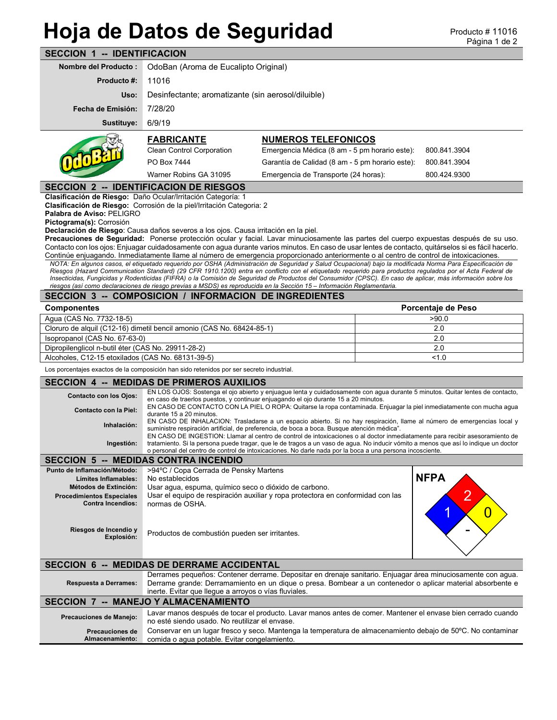## **SECCION 1 -- IDENTIFICACION Hoja de Datos de Seguridad**

| 98 - PENTILIVAVION                                                                                                                                                                                                                                                                                                                                                                                                                                                                                                                                                                                                                                                                                                                                                                                                                                                                                                                                                                                                                                                                                                                                                                                                                    |                                                                                                                                                                                                                                                                                                                                                                    |                                                 |  |                                  |  |
|---------------------------------------------------------------------------------------------------------------------------------------------------------------------------------------------------------------------------------------------------------------------------------------------------------------------------------------------------------------------------------------------------------------------------------------------------------------------------------------------------------------------------------------------------------------------------------------------------------------------------------------------------------------------------------------------------------------------------------------------------------------------------------------------------------------------------------------------------------------------------------------------------------------------------------------------------------------------------------------------------------------------------------------------------------------------------------------------------------------------------------------------------------------------------------------------------------------------------------------|--------------------------------------------------------------------------------------------------------------------------------------------------------------------------------------------------------------------------------------------------------------------------------------------------------------------------------------------------------------------|-------------------------------------------------|--|----------------------------------|--|
| <b>Nombre del Producto:</b>                                                                                                                                                                                                                                                                                                                                                                                                                                                                                                                                                                                                                                                                                                                                                                                                                                                                                                                                                                                                                                                                                                                                                                                                           | OdoBan (Aroma de Eucalipto Original)                                                                                                                                                                                                                                                                                                                               |                                                 |  |                                  |  |
| <b>Producto #:</b>                                                                                                                                                                                                                                                                                                                                                                                                                                                                                                                                                                                                                                                                                                                                                                                                                                                                                                                                                                                                                                                                                                                                                                                                                    | 11016                                                                                                                                                                                                                                                                                                                                                              |                                                 |  |                                  |  |
| Uso:                                                                                                                                                                                                                                                                                                                                                                                                                                                                                                                                                                                                                                                                                                                                                                                                                                                                                                                                                                                                                                                                                                                                                                                                                                  | Desinfectante; aromatizante (sin aerosol/diluible)                                                                                                                                                                                                                                                                                                                 |                                                 |  |                                  |  |
| Fecha de Emisión:                                                                                                                                                                                                                                                                                                                                                                                                                                                                                                                                                                                                                                                                                                                                                                                                                                                                                                                                                                                                                                                                                                                                                                                                                     | 7/28/20                                                                                                                                                                                                                                                                                                                                                            |                                                 |  |                                  |  |
| Sustituye:                                                                                                                                                                                                                                                                                                                                                                                                                                                                                                                                                                                                                                                                                                                                                                                                                                                                                                                                                                                                                                                                                                                                                                                                                            | 6/9/19                                                                                                                                                                                                                                                                                                                                                             |                                                 |  |                                  |  |
|                                                                                                                                                                                                                                                                                                                                                                                                                                                                                                                                                                                                                                                                                                                                                                                                                                                                                                                                                                                                                                                                                                                                                                                                                                       | <b>FABRICANTE</b>                                                                                                                                                                                                                                                                                                                                                  | <b>NUMEROS TELEFONICOS</b>                      |  |                                  |  |
| <b>Clean Control Corporation</b><br>Emergencia Médica (8 am - 5 pm horario este):                                                                                                                                                                                                                                                                                                                                                                                                                                                                                                                                                                                                                                                                                                                                                                                                                                                                                                                                                                                                                                                                                                                                                     |                                                                                                                                                                                                                                                                                                                                                                    |                                                 |  | 800 841 3904                     |  |
|                                                                                                                                                                                                                                                                                                                                                                                                                                                                                                                                                                                                                                                                                                                                                                                                                                                                                                                                                                                                                                                                                                                                                                                                                                       | PO Box 7444                                                                                                                                                                                                                                                                                                                                                        | Garantía de Calidad (8 am - 5 pm horario este): |  | 800.841.3904                     |  |
|                                                                                                                                                                                                                                                                                                                                                                                                                                                                                                                                                                                                                                                                                                                                                                                                                                                                                                                                                                                                                                                                                                                                                                                                                                       | Warner Robins GA 31095                                                                                                                                                                                                                                                                                                                                             | Emergencia de Transporte (24 horas):            |  | 800 424 9300                     |  |
|                                                                                                                                                                                                                                                                                                                                                                                                                                                                                                                                                                                                                                                                                                                                                                                                                                                                                                                                                                                                                                                                                                                                                                                                                                       | <b>SECCION 2 -- IDENTIFICACION DE RIESGOS</b>                                                                                                                                                                                                                                                                                                                      |                                                 |  |                                  |  |
| Clasificación de Riesgo: Daño Ocular/Irritación Categoría: 1<br>Clasificación de Riesgo: Corrosión de la piel/Irritación Categoria: 2<br>Palabra de Aviso: PELIGRO<br>Pictograma(s): Corrosión<br><b>Declaración de Riesgo</b> : Causa daños severos a los ojos. Causa irritación en la piel.<br>Precauciones de Seguridad: Ponerse protección ocular y facial. Lavar minuciosamente las partes del cuerpo expuestas después de su uso.<br>Contacto con los ojos: Enjuagar cuidadosamente con agua durante varios minutos. En caso de usar lentes de contacto, quitárselos si es fácil hacerlo.<br>Continúe enjuagando. Inmediatamente llame al número de emergencia proporcionado anteriormente o al centro de control de intoxicaciones.<br>NOTA: En algunos casos, el etiguetado reguerido por OSHA (Administración de Seguridad y Salud Ocupacional) bajo la modificada Norma Para Especificación de<br>Riesgos (Hazard Communication Standard) (29 CFR 1910.1200) entra en conflicto con el etiquetado requerido para productos requlados por el Acta Federal de<br>Insecticidas, Fungicidas y Rodenticidas (FIFRA) o la Comisión de Seguridad de Productos del Consumidor (CPSC). En caso de aplicar, más información sobre los |                                                                                                                                                                                                                                                                                                                                                                    |                                                 |  |                                  |  |
|                                                                                                                                                                                                                                                                                                                                                                                                                                                                                                                                                                                                                                                                                                                                                                                                                                                                                                                                                                                                                                                                                                                                                                                                                                       | riesgos (así como declaraciones de riesgo previas a MSDS) es reproducida en la Sección 15 - Información Reglamentaria.<br>SECCION 3 -- COMPOSICION / INFORMACION DE INGREDIENTES                                                                                                                                                                                   |                                                 |  |                                  |  |
| <b>Componentes</b>                                                                                                                                                                                                                                                                                                                                                                                                                                                                                                                                                                                                                                                                                                                                                                                                                                                                                                                                                                                                                                                                                                                                                                                                                    |                                                                                                                                                                                                                                                                                                                                                                    |                                                 |  | Porcentaje de Peso               |  |
| Agua (CAS No. 7732-18-5)                                                                                                                                                                                                                                                                                                                                                                                                                                                                                                                                                                                                                                                                                                                                                                                                                                                                                                                                                                                                                                                                                                                                                                                                              |                                                                                                                                                                                                                                                                                                                                                                    |                                                 |  | >90.0                            |  |
|                                                                                                                                                                                                                                                                                                                                                                                                                                                                                                                                                                                                                                                                                                                                                                                                                                                                                                                                                                                                                                                                                                                                                                                                                                       | Cloruro de alquil (C12-16) dimetil bencil amonio (CAS No. 68424-85-1)                                                                                                                                                                                                                                                                                              |                                                 |  | 2.0                              |  |
| 2.0<br>Isopropanol (CAS No. 67-63-0)                                                                                                                                                                                                                                                                                                                                                                                                                                                                                                                                                                                                                                                                                                                                                                                                                                                                                                                                                                                                                                                                                                                                                                                                  |                                                                                                                                                                                                                                                                                                                                                                    |                                                 |  |                                  |  |
|                                                                                                                                                                                                                                                                                                                                                                                                                                                                                                                                                                                                                                                                                                                                                                                                                                                                                                                                                                                                                                                                                                                                                                                                                                       |                                                                                                                                                                                                                                                                                                                                                                    |                                                 |  |                                  |  |
| Dipropilenglicol n-butil éter (CAS No. 29911-28-2)                                                                                                                                                                                                                                                                                                                                                                                                                                                                                                                                                                                                                                                                                                                                                                                                                                                                                                                                                                                                                                                                                                                                                                                    |                                                                                                                                                                                                                                                                                                                                                                    |                                                 |  | 2.0                              |  |
| Alcoholes, C12-15 etoxilados (CAS No. 68131-39-5)                                                                                                                                                                                                                                                                                                                                                                                                                                                                                                                                                                                                                                                                                                                                                                                                                                                                                                                                                                                                                                                                                                                                                                                     |                                                                                                                                                                                                                                                                                                                                                                    |                                                 |  | 1.0                              |  |
|                                                                                                                                                                                                                                                                                                                                                                                                                                                                                                                                                                                                                                                                                                                                                                                                                                                                                                                                                                                                                                                                                                                                                                                                                                       | Los porcentajes exactos de la composición han sido retenidos por ser secreto industrial.                                                                                                                                                                                                                                                                           |                                                 |  |                                  |  |
|                                                                                                                                                                                                                                                                                                                                                                                                                                                                                                                                                                                                                                                                                                                                                                                                                                                                                                                                                                                                                                                                                                                                                                                                                                       | <b>SECCION 4 -- MEDIDAS DE PRIMEROS AUXILIOS</b>                                                                                                                                                                                                                                                                                                                   |                                                 |  |                                  |  |
| <b>Contacto con los Ojos:</b>                                                                                                                                                                                                                                                                                                                                                                                                                                                                                                                                                                                                                                                                                                                                                                                                                                                                                                                                                                                                                                                                                                                                                                                                         | EN LOS OJOS: Sostenga el ojo abierto y enjuague lenta y cuidadosamente con agua durante 5 minutos. Quitar lentes de contacto,<br>en caso de traerlos puestos, y continuar enjuagando el ojo durante 15 a 20 minutos.                                                                                                                                               |                                                 |  |                                  |  |
| Contacto con la Piel:                                                                                                                                                                                                                                                                                                                                                                                                                                                                                                                                                                                                                                                                                                                                                                                                                                                                                                                                                                                                                                                                                                                                                                                                                 | EN CASO DE CONTACTO CON LA PIEL O ROPA: Quitarse la ropa contaminada. Enjuagar la piel inmediatamente con mucha agua<br>durante 15 a 20 minutos.                                                                                                                                                                                                                   |                                                 |  |                                  |  |
| Inhalación:                                                                                                                                                                                                                                                                                                                                                                                                                                                                                                                                                                                                                                                                                                                                                                                                                                                                                                                                                                                                                                                                                                                                                                                                                           | EN CASO DE INHALACION: Trasladarse a un espacio abierto. Si no hay respiración, llame al número de emergencias local y                                                                                                                                                                                                                                             |                                                 |  |                                  |  |
| Ingestión:                                                                                                                                                                                                                                                                                                                                                                                                                                                                                                                                                                                                                                                                                                                                                                                                                                                                                                                                                                                                                                                                                                                                                                                                                            | suministre respiración artificial, de preferencia, de boca a boca. Busque atención médica".<br>EN CASO DE INGESTION: Llamar al centro de control de intoxicaciones o al doctor inmediatamente para recibir asesoramiento de<br>tratamiento. Si la persona puede tragar, que le de tragos a un vaso de agua. No inducir vómito a menos que así lo indique un doctor |                                                 |  |                                  |  |
|                                                                                                                                                                                                                                                                                                                                                                                                                                                                                                                                                                                                                                                                                                                                                                                                                                                                                                                                                                                                                                                                                                                                                                                                                                       | o personal del centro de control de intoxicaciones. No darle nada por la boca a una persona incosciente.<br><b>SECCION 5 -- MEDIDAS CONTRA INCENDIO</b>                                                                                                                                                                                                            |                                                 |  |                                  |  |
| Punto de Inflamación/Método:                                                                                                                                                                                                                                                                                                                                                                                                                                                                                                                                                                                                                                                                                                                                                                                                                                                                                                                                                                                                                                                                                                                                                                                                          | >94°C / Copa Cerrada de Pensky Martens                                                                                                                                                                                                                                                                                                                             |                                                 |  |                                  |  |
| Límites Inflamables:                                                                                                                                                                                                                                                                                                                                                                                                                                                                                                                                                                                                                                                                                                                                                                                                                                                                                                                                                                                                                                                                                                                                                                                                                  | No establecidos                                                                                                                                                                                                                                                                                                                                                    |                                                 |  | <b>NFPA</b>                      |  |
| Métodos de Extinción:                                                                                                                                                                                                                                                                                                                                                                                                                                                                                                                                                                                                                                                                                                                                                                                                                                                                                                                                                                                                                                                                                                                                                                                                                 | Usar agua, espuma, químico seco o dióxido de carbono.                                                                                                                                                                                                                                                                                                              |                                                 |  |                                  |  |
| <b>Procedimientos Especiales</b><br><b>Contra Incendios:</b><br>Riesgos de Incendio y<br>Explosión:                                                                                                                                                                                                                                                                                                                                                                                                                                                                                                                                                                                                                                                                                                                                                                                                                                                                                                                                                                                                                                                                                                                                   | Usar el equipo de respiración auxiliar y ropa protectora en conformidad con las<br>normas de OSHA.<br>Productos de combustión pueden ser irritantes.                                                                                                                                                                                                               |                                                 |  | $\overline{2}$<br>$\overline{0}$ |  |
|                                                                                                                                                                                                                                                                                                                                                                                                                                                                                                                                                                                                                                                                                                                                                                                                                                                                                                                                                                                                                                                                                                                                                                                                                                       | <b>SECCION 6 -- MEDIDAS DE DERRAME ACCIDENTAL</b>                                                                                                                                                                                                                                                                                                                  |                                                 |  |                                  |  |
| <b>Respuesta a Derrames:</b>                                                                                                                                                                                                                                                                                                                                                                                                                                                                                                                                                                                                                                                                                                                                                                                                                                                                                                                                                                                                                                                                                                                                                                                                          | Derrames pequeños: Contener derrame. Depositar en drenaje sanitario. Enjuagar área minuciosamente con agua.<br>Derrame grande: Derramamiento en un dique o presa. Bombear a un contenedor o aplicar material absorbente e                                                                                                                                          |                                                 |  |                                  |  |
|                                                                                                                                                                                                                                                                                                                                                                                                                                                                                                                                                                                                                                                                                                                                                                                                                                                                                                                                                                                                                                                                                                                                                                                                                                       | inerte. Evitar que llegue a arroyos o vías fluviales.<br><b>SECCION 7 -- MANEJO Y ALMACENAMIENTO</b>                                                                                                                                                                                                                                                               |                                                 |  |                                  |  |
| Precauciones de Manejo:                                                                                                                                                                                                                                                                                                                                                                                                                                                                                                                                                                                                                                                                                                                                                                                                                                                                                                                                                                                                                                                                                                                                                                                                               | Lavar manos después de tocar el producto. Lavar manos antes de comer. Mantener el envase bien cerrado cuando                                                                                                                                                                                                                                                       |                                                 |  |                                  |  |
| <b>Precauciones de</b>                                                                                                                                                                                                                                                                                                                                                                                                                                                                                                                                                                                                                                                                                                                                                                                                                                                                                                                                                                                                                                                                                                                                                                                                                | no esté siendo usado. No reutilizar el envase.<br>Conservar en un lugar fresco y seco. Mantenga la temperatura de almacenamiento debajo de 50°C. No contaminar                                                                                                                                                                                                     |                                                 |  |                                  |  |